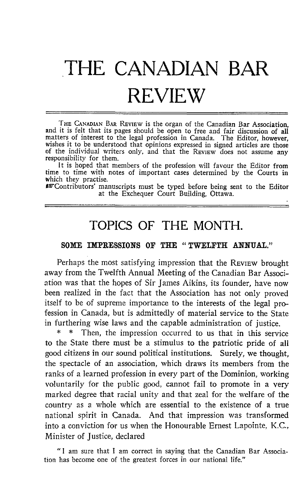## THE CANADIAN BAR REVIEW

THE CANADIAN BAR REVIEW is the organ of the Canadian Bar Association, and it is felt that its pages should be open to free and fair discussion of all matters of interest to the legal profession in Canada. The Editor, however, wishes it to be understood that opinions expressed in signed articles are those of the individual writers only, and that the REVIEW does not assume any responsibility for them.

It is hoped that members of the profession will favour the Editor from time to time with notes of important cases determined by the Courts in which they practise.

wContributors' manuscripts must be typed before being sent to the Editor at the Exchequer Court Building, Ottawa.

## TOPICS OF THE MONTH.

## SOME IMPRESSIONS OF THE "TWELFTH ANNUAL."

Perhaps the most satisfying impression that the REVIEW brought away from the Twelfth Annual Meeting of the Canadian Bar Association was that the hopes of Sir James Aikins, its founder, have now been realized in the fact that the Association has not only proved itself to be of supreme importance to the interests of the legal profession in Canada, but is admittedly of material service to the State in furthering wise laws and the capable administration of justice.<br> $*$  \* Then the impression occurred to us that in this servi-

Then, the impression occurred to us that in this service to the State there must be a stimulus to the patriotic pride of all good citizens in our sound political institutions. Surely, we thought, the spectacle of an association, which draws its members from the ranks of a learned profession in every part of the Dominion, working voluntarily for the public good, cannot fail to promote in a very marked degree that racial unity and that zeal for the welfare of the country as a whole which are essential to the existence of a true national spirit in Canada. And that impression was transformed into a conviction for us when the Honourable Ernest Lapointe, K.C., Minister of justice, declared

" <sup>I</sup> am sure that <sup>I</sup> am correct in saying that the Canadian Bar Association has become one of the greatest forces in our national life."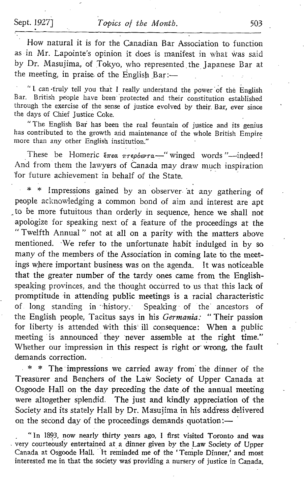How natural it is for the Canadian Bar Association to function as in Mr. Lapointe's opinion it does is manifest in what was said by Dr. Masujima, of Tokyo, who represented the Japanese Bar at the meeting, in praise of the English Bar :-

"I can -truly tell you that I really understand the power of the English Bar. British people have been protected and their constitution established through the exercise of the sense of justice evolved by their. Bar, ever since the days of Chief Justice Coke.

"The English Bar has been the real fountain of justice and its genius has contributed to the growth and maintenance of the whole British Empire more than any other English institution."

These be Homeric  $\zeta_{\text{mean}}$   $\pi \epsilon \rho$  bev $\tau \alpha$  = "winged words "-indeed! And from them the lawyers of Canada may draw much inspiration 'for future achievement in behalf of the State.

Impressions gained by an observer at any gathering of people acknowledging <sup>a</sup> common bond of aim and interest are apt to be more futuitous than orderly in sequence, hence we shall not apologize for speaking next of a feature of the proceedings at the "Twelfth Annual" not at all on a parity with the matters above mentioned. We refer to the unfortunate habit indulged in by so many of the members of the Association in coming late to the meet ings where important business was on the agenda. It was noticeable that the greater number of the tardy ones came from the Englishspeaking provinces, and the thought occurred to us that this lack of promptitude in attending public meetings is a racial characteristic of long standing in history. Speaking of the ancestors of the English people, Tacitus says in his Germania: "Their passion for liberty is attended with this ill consequence: When a public meeting 'is announced they 'never assemble at the right time," Whether our impression in this respect is right or wrong, the fault demands correction.

 $*$  \* The impressions we carried away from the dinner of the Treasurer and Bençhers of the Law Society of Upper Canada at Osgoode Hall on the day preceding the date,of the annual meeting were altogether splendid. The just and kindly appreciation of the Society and its stately Hall by Dr. Masujima in his address delivered on the second day of the proceedings demands quotation :-

" In 1893, now nearly thirty years ago, <sup>I</sup> first visited Toronto and was very courteously entertainèd at a dinner given by the Law Society of Upper Canada at Osgoode Hall. "It reminded me of the 'Temple Dinner,' and most interested me in that the society was providing a nursery of justice in Canada,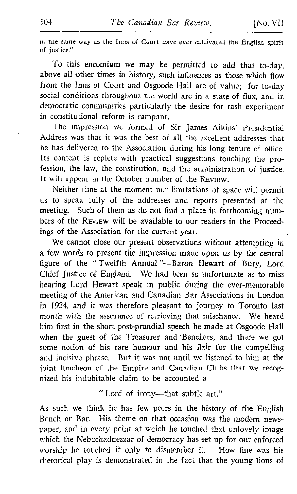in the same way as the Inns of Court have ever cultivated the English spirit of justice,"

To this encomium we may be permitted to add that to-day, above all other times in history, such influences as those which flow from the Inns of Court and Osgoode Hall are of value; for to-day social conditions throughout the world are in a state of flux, and in democratic communities particularly the desire for rash experiment in constitutional reform is rampant.

The impression we formed of Sir James Aikins' Presidential Address was that it was the best of all the excellent addresses that he has delivered to the Association during his long tenure of office. Its content is replete with practical suggestions touching the profession, the law, the constitution, and the administration of justice. It will appear in the October number of the REVIEW.

Neither time at the moment nor limitations of space will permit us to speak fully of the addresses and reports presented at the meeting. Such of them as do not find <sup>a</sup> place in forthcoming numbers of the REVIEW will be available to our readers in the Proceedings of the Association for the current year.

We cannot close our present observations without attempting in <sup>a</sup> few words to present the impression made upon us by the central figure of the "Twelfth Annual"-Baron Hewart of Bury, Lord Chief Justice of England. We had been so unfortunate as to miss hearing Lord Hewart speak in public during the ever-memorable meeting of the American and Canadian Bar Associations in London in 1924, and it was therefore pleasant to journey to Toronto last month with the assurance of retrieving that mischance. We heard him first in the short post-prandial speech he made at Osgoode Hall when the guest of the Treasurer and Benchers, and there we got some notion of his rare humour and his flair for the compelling and incisive phrase. But it was not until we listened to him at the joint luncheon of the Empire and Canadian Clubs that we recognized his indubitable claim to be accounted a

" Lord of irony-that subtle art."

As such we think he has few peers in the history of the English Bench or Bar. His theme on that occasion was the modern newspaper, and in every point at which he touched that unlovely image which the Nebuchadnezzar of democracy has set up for our enforced worship he touched it only to dismember it. How fine was his rhetorical play is demonstrated in the fact that the young lions of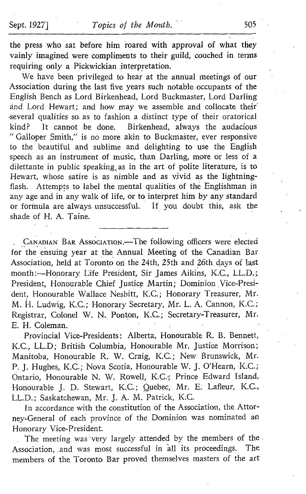the press who sat before him roared with approval of what they vainly imagined were compliments to their guild, couched in terms requiring only a Pickwickian interpretation.

We have been privileged to hear at the annual meetings of our Association during the last five years such notable occupants of the English Bench as Lord Birkenhead, Lord Buckmaster, Lord Darling ànd Lord Hewart; and how may we assemble and collocate their several qualities so as to fashion a distinct type of their oratorical<br>kind? It cannot be done. Birkenhead, always the audacious It cannot be done. Birkenhead, always the audacious " Galloper Smith," is no more akin to Buckmaster, ever responsive to the beautiful and sublime and delighting to use the English speech as an instrument of music, than Darling, more or less of a dilettante in public speaking, as in the art of polite literature, is to Hewart, whose satire is as nimble and as vivid as the lightning-<br>flash. Attempts to label the mental qualities of the Englishman in Attempts to label the mental qualities of the Englishman in any age and in any walk of life, or to interpret him by any standard or formula are always unsuccessful. If you doubt this, ask the shade of H. A. Taine.

CANADIAN BAR Association.-The following officers were elected for the ensuing year at the Annual Meeting of the Canadian Bar Association, held at Toronto on the 24th, 25th and 26th days of last month:-Honorary Life President, Sir James Aikins, K.C., L.L.D.; President, Honourable Chief Justice Martin; Dominion Vice-President, Honourable Wallace Nesbitt, K.C.: Honorary Treasurer, Mr. M. H. Ludwig, K.C.; Honorary Secretary, Mr. L. A. Cannon, K.C.; Registrar, Colonel W. N. Ponton, K.C.; Secretary-Treasurer, Mr. E. H. Coleman.

Provincial Vice-Presidents: Alberta, Honourable R. B. Bennett, K.C., LL.D; British Columbia, Honourable Mr. Justice Morrison; Manitoba, Honourable R. W. Craig, K.C.; New Brunswick, Mr. P. J. Hughes, K.C.; Nova Scotia, Honourable W. J. O'Hearn, K.C.; Ontario, Honourable N. W. Rowell, K.C.; Prince Edward Island, Honourable J. D. Stewart, K.C.; Quebec, Mr. E. Lafleur, K.C., LL.D.; Saskatchewan, Mr. J. A. M. Patrick, K.C.

In accordance with the constitution of the Association, the Attorney-General of each province of the Dominion was nominated an Honorary Vice-President.

The meeting was 'very largely attended by the members of the Association, and was most successful in all its proceedings. The members of the Toronto Bar proved themselves masters of the art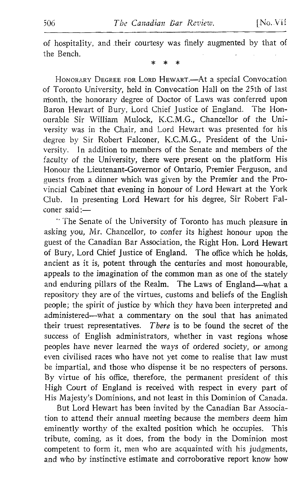of hospitality, and their courtesy was finely augmented by that of the Bench.

HONORARY DEGREE FOR LORD HEWART.-At a special Convocation of Toronto University, held in Convocation Hall on the 25th of last month, the honorary degree of Doctor of Laws was conferred upon Baron Hewart of Bury, Lord Chief Justice of England. The Honourable Sir William Mulock, K.C.M .G., Chancellor of the University was in the Chair, and Lord Hewart was presented for his degree by Sir Robert Falconer, K.C.M.G., President of the University. In addition to members of the Senate and members of the faculty of the University, there were present on the platform His Honour the Lieutenant-Governor of Ontario, Premier Ferguson, and guests from a dinner which was given by the Premier and the Provincial Cabinet that evening in honour of Lord Hewart at the York Club. In presenting Lord Hewart for his degree, Sir Robert Falconer said :-

" The Senate of the University of Toronto has much pleasure in asking you, Mr. Chancellor, to confer its highest honour upon the guest of the Canadian Bar Association, the Right Hon. Lord Hewart of Bury, Lord Chief justice of England. The office which he holds, ancient as it is, potent through the centuries and most honourable, appeals to the imagination of the common man as one of the stately and enduring pillars of the Realm. The Laws of England-what a repository they are of the virtues, customs and beliefs of the English people; the spirit of justice by which they have been interpreted and administered—what a commentary on the soul that has animated their truest representatives. There is to be found the secret of the There is to be found the secret of the success of English administrators, whether in vast regions whose peoples have never learned the ways of ordered society, or among even civilised races who have not yet come to realise that law must be impartial, and those who dispense it be no respecters of persons . By virtue of his office, therefore, the permanent president of this High Court of England is received with respect in every part of His Majesty's Dominions, and not least in this Dominion of Canada.

But Lord Hewart has been invited by the Canadian Bar Association to attend their annual meeting because the members deem him eminently worthy of the exalted position which he occupies. This tribute, coming, as it does, from the body in the Dominion most competent to form it, men who are acquainted with his judgments, and who by instinctive estimate and corroborative report know how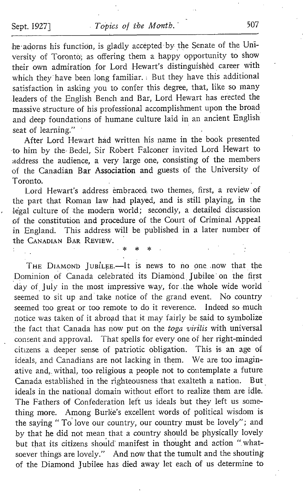he-adorns his function, is gladly accepted-by the Senate of the University of Toronto; as offering them a happy opportunity to show their own admiration for Lord Hewart's distinguished career with which they have been long familiar. But they have this additional satisfaction in asking you to confer this degree, that, like so many leaders of the English Bench and Bar, Lord Hewart has erected the massive structure of his professional accomplishment upon the broad and deep foundations of humane culture laid in an ancient English seat of learning."

After Lord Hewart had written his name in the book presented to him by the- Bedel, Sir Robert Falconer invited Lord Hewart to address the audience, a very large one, consisting of the members of the Canadian Bat Association and guests of the University of Toronto.

Lord Hewart's address embraced two themes, first, a review of the part that Roman law had played, and is still playing, in the legal culture of the modern world; secondly, a detailed discussion of the constitution and procedure of the Court of Criminal Appeal in England. This address will be published in a later number of the CANADIAN BAR REVIEW.

THE DIAMOND JUBILEE.-It is news to no one now that the Dominion of Canada celebrated its Diamônd. Jubilee on the first day of July in the most impressive way, for the whole wide world seemed to sit up and take notice of the grand event. No country seemed too great or too remote to do it reverence. Indeed so much .notice was taken of it abroad that it may fairly be said to symbolize the fact that Canada has now put on the toga virilis with universal consent and approval. That spells for every one of her right-minded citizens a deeper sense of patriotic obligation . This is an age of ideals, and Canadians are not lacking in them. We are too imaginative and, withal, too religious a people not to contemplate a future<br>Canada established in the righteousness that exalteth a nation. But Canada established in the righteousness that exalteth a nation. ideals in the national domain without effort to realize them are idle. The Fathers of Confederation left us ideals but they left us something more. Among Burke's excellent words of political wisdom is the saying " To love our country, our country must be lovely"; and by that he did not mean that a country should be physically lovely but that its citizens should manifest in thought and action "whatsoever things are lovely." And now that the tumult and the shouting of the Diamond jubilee has died away let each of us determine to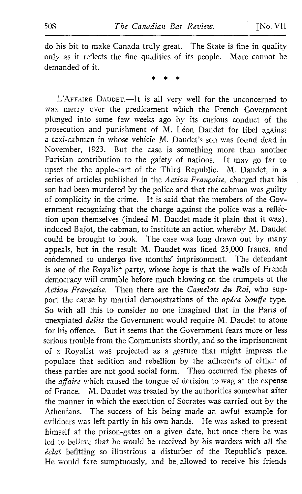do his bit to make Canada truly great. The State is fine in quality only as it reflects the fine qualities of its people. More cannot be demanded of it.

L'AFFAIRE DAUDET.-It is all very well for the unconcerned to wax merry over the predicament which the French Government plunged into some few weeks ago by its curious conduct of the prosecution and punishment of M. Léon Daudet for libel against <sup>a</sup> taxi-cabman in whose vehicle M. Daudet's son was found dead in November, 1923. But the case is something more than another Parisian contribution to the gaiety of nations. It may go far to upset the the apple-cart of the Third Republic. M. Daudet, in <sup>a</sup> series of articles published in the Action Française, charged that his son had been murdered by the police and that the cabman was guilty of complicity in the crime. It is said that the members of the Government recognizing that the charge against the police was a reflection upon themselves (indeed M. Daudet made it plain that it was), induced Bajot, the cabman, to institute an action whereby M. Daudet could be brought to book. The case was long drawn out by many appeals, but in the result M. Daudet was fined 25,000 francs, and condemned to undergo five months' imprisonment. The defendant is one of the Royalist party, whose hope is that the wails of French democracy will crumble before much blowing on the trumpets of the Action Française. Then there are the Camelots du Roi, who support the cause by martial demonstrations of the  $\omega$ péra bouffe type. So with all this to consider no one imagined that in the Paris of unexpiated *delits* the Government would require M. Daudet to atone for his offence. But it seems that the Government fears more or less serious trouble from the Communists shortly, and so the imprisonment of a Royalist was projected as a gesture that might impress the populace that sedition and rebellion by the adherents of either of these parties are not good social form. Then occurred the phases of the  $a\bar{f}$ aire which caused the tongue of derision to wag at the expense of France. M. Daudet was treated by the authorities somewhat after M. Daudet was treated by the authorities somewhat after the manner in which the execution of Socrates was carried out by the Athenians. The success of his being made an awful example for evildoers was left partly in his own hands. He was asked to present himself at the prison-gates on a given date, but once there he was led to believe that he would be received by his warders with all the  $éclat$  befitting so illustrious a disturber of the Republic's peace. He would fare sumptuously, and be allowed to receive his friends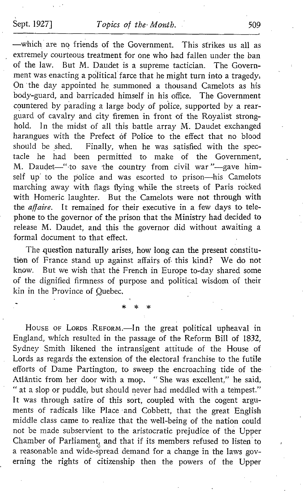-which are no friends of the Government. This strikes us all as extremely courteous treatment for one who had fallen under the ban of the law. But M. Daudet is <sup>a</sup> supreme tactician. The Government was enacting a political farce that he might turn into a tragedy, On 'the day appointed he summoned a thousand Camelots as his body-guard, and barricaded himself in his office. The Government countered by parading a large body of police, supported by a rearguard of cavalry and city firemen in front of the Royalist stronghold. In the midst of all this battle array M. Daudet exchanged harangues with the Prefect of Police to the effect that no blood should be shed. Finally, when he was satisfied with the spec-Finally, when he was satisfied with the spectacle he had been permitted to make of the Government, M. Daudet-"to save the country from civil war"-gave himself up' to the police and was escorted to prison-his Camelots marching away with flags flying while the streets of Paris rocked with Homeric laughter. But the Camelots were not through with the *affaire*. It remained for their executive in a few days to telephone to the governor of the prison that the Ministry had decided to release M. Daudet, and this the governor did without awaiting <sup>a</sup> formal document to that effect.

The question naturally arises, how long can the present constitution of France stand up against affairs of. this kind? We do not know. But we wish that the French in Europe to-day shared some of the dignified firmness of purpose and political wisdom of their kin in the Province of Quebec.

HOUSE OF LORDS REFORM.-In the great political upheaval in England, which resulted in the passage of the Reform Bill of 1832, Sydney Smith likened the intransigent attitude of the House of Lords as regards the extension of the electoral franchise to the futile efforts of Dame Partington, to sweep the encroaching tide of the Atlantic from her door with <sup>a</sup> mop. " She was excellent," he said, " at a slop or puddle, but should never had meddled with a tempest." It was through satire of this sort, coupled with the cogent arguments of radicals like Place and Cobbett, that the great English middle class came to realize that the well-being of the nation could not be made subservient to the aristocratic prejudice of the Upper Chamber of Parliament, and that if its members refused to listen to a reasonable and wide-spread demand for a change in the laws governing the rights of citizenship then the powers of the Upper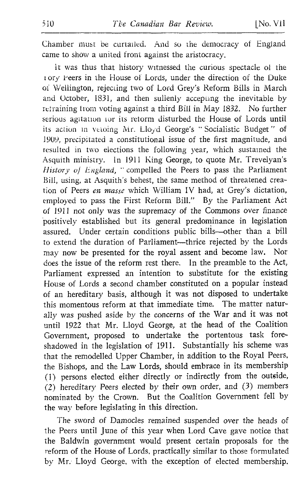Chamber must be curtailed. And so the democracy of England came to show a united front against the aristocracy.

It was thus that history witnessed the curious spectacle of the t ory Peers in the House of Lords, under the direction of the Duke of Wellington, rejecting two of Lord Grey's Reform Bills in March and October, 1831, and then sullenly accepting the inevitable by retraining from voting against a third Bill in May 1832. No further serious agitation for its reform disturbed the House of Lords until its action in vetoing Mr. Lloyd George's "Socialistic Budget" of 1909, precipitated a constitutional issue of the first magnitude, and resulted in two elections the following year, which sustained the Asquith ministry. In <sup>1911</sup> King George, to quote Mr. Trevelyan's History of England, " compelled the Peers to pass the Parliament Bill, using, at Asquith's behest, the same method of threatened creation of Peers en masse which William IV had, at Grey's dictation, employed to pass the First Reform Bill." By the Parliament Act of <sup>1911</sup> not only was the supremacy of the Commons over finance positively established but its general predominance in legislation assured. Under certain conditions public bills-other than a bill to extend the duration of Parliament---thrice rejected by the Lords<br>may now be presented for the royal assent and become law. Nor may now be presented for the royal assent and become law. does the issue of the reform rest there. In the preamble to the Act, Parliament expressed an intention to substitute for the existing House of Lords a second chamber constituted on a popular instead of an hereditary basis, although it was not disposed to undertake this momentous reform at that immediate time. The matter naturally was pushed aside by the concerns of the War and it was not until <sup>1922</sup> that Mr. Lloyd George, at the head of the Coalition Government, proposed to undertake the portentous task foreshadowed in the legislation of 1911 . Substantially his scheme was that the remodelled Upper Chamber, in addition to the Royal Peers, the Bishops, and the Law Lords, should embrace in its membership (1) persons elected either directly or indirectly from the outside, (2) hereditary Peers elected by their own order, and (3) members nominated by the Crown. But the Coalition Government fell by the way before legislating in this direction.

The sword of Damocles remained suspended over the heads of the Peers until June of this year when Lord Cave gave notice that the Baldwin government would present certain proposals for the reform of the House of Lords, practically similar to those formulated by Mr. Lloyd George, with the exception of elected membership.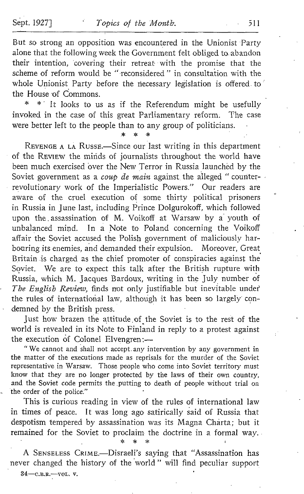But so strong an opposition was encountered in the Unionist Party alone that the following week the Government felt obliged to. abandon their intention, covering their retreat with the promise that the scheme of reform would be "-reconsidered " in consultation with the whole Unionist Party before the necessary legislation is offered to' the House of Commons.

\* It looks to us as if the Referendum might be usefully invoked in the case of this great Parliamentary reform. The case were better left to the people than to any group of politicians.

\* \* \*

REVENGE A LA RUSSE.-Since our last writing in this department of the REVIEW the minds of journalists throughout the world have been much exercised 'over the New Terror in Russia launched by the Soviet government as a *coup de main* against the alleged " counterrevolutionary work of the Imperialistic Powers." Our readers are aware of the cruel execution of some thirty political prisoners in Russia in June last, including Prince DoIgurokoff, which followed upon the assassination of M. Voikoff at Warsaw by a youth of unbalanced mind. In a Note to Poland concerning the Voikoff affair the Soviet accused the Polish government of maliciously harbouring its enemies, and demanded their expulsion. Moreover, Great Britain \_is charged as the chief promoter of conspiracies against the Soviet. We are to expect this talk after the British rupture with Russia, which M. Jacques Bardoux, writing in the July number of The English Review, finds not only justifiable but inevitable under the rules of international law, although it has been so largely condemned by the British press.

Just how brazen the attitude of the Soviet is to the rest of the world is revealed in its Note to Finland in reply to a protest against the execution of Colonel Elvengren:-

" We cannot and shall not accept any intervention by any government in the matter of the executions made as reprisals for the murder of the Soviet representative in Warsaw. Those people who come into Soviet territory must know that they are no longer protected by the laws of their own country, and the Soviet code permits the putting to death of people without trial on the order of the police."

This is curious reading in view of the rules of international law in times of peace. It was long ago satirically said of Russia that despotism tempered by assassination was its Magna Charta; but it remained for the Soviet to proclaim the doctrine in a formal way.

\* \* \* A SENSELESS CRIME.--Disraeli's saying that "Assassination has never changed the history of the world " will find peculiar support

34-C.B.R .- VOL. V.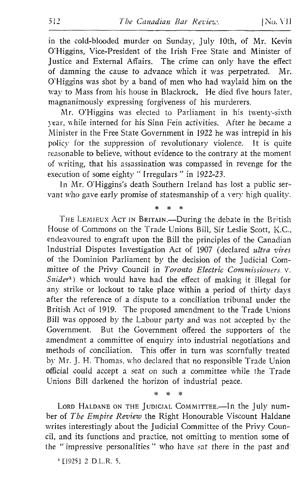in the cold-blooded murder on Sunday, July 10th, of Mr. Kevin O'Higgins, Vice-President of the Irish Free State and Minister of Justice and External Affairs. The crime can only have the effect of damning the cause to advance which it was perpetrated. Mr. of damning the cause to advance which it was perpetrated. O'Higgins was shot by a band of men who had waylaid him on the way to Mass from his house in Blackrock. He died five hours later, magnanimously expressing forgiveness of his murderers .

Mr. O'Higgins was elected to Parliament in his twenty-sixth year, while interned for his Sinn Fein activities. After he became a Minister in the Free State Government in 1922 he was intrepid in his policy for the suppression of revolutionary violence. It is quite reasonable to believe, without evidence to the contrary at the moment of writing, that his assassination was compassed in revenge for the execution of some eighty "Irregulars" in 1922-23.

In Mr. <sup>O</sup>'Higgins's death Southern Ireland has lost <sup>a</sup> public servant who gave early promise of statesmanship of a very high quality.

 $\star$ 

THE LEMIEUX ACT IN BRITAIN.—During the debate in the British House of Commons on the Trade Unions Bill, Sir Leslie Scott, K.C., endeavoured to engraft upon the Bill the principles of the Canadian Industrial Disputes Investigation Act of 1907 (declared ultra vires of the Dominion Parliament by the decision of the judicial Committee of the Privy Council in Toronto Electric Commissioners. v.  $Snider<sup>1</sup>$ ) which would have had the effect of making it illegal for any strike or lockout to take place within a period of thirty days after the reference of a dispute to a conciliation tribunal under the British Act of 1919. The proposed amendment to the Trade Unions Bill was opposed by the Labour party and was not accepted by the Government. But the Government offered the supporters of the amendment <sup>a</sup> committee of enquiry into industrial negotiations and methods of conciliation. This offer in turn was scornfully treated by Mr. J. H. Thomas, who declared that no responsible Trade Union official could accept a seat on such a committee while the Trade Unions Bill darkened the horizon of industrial peace.

LORD HALDANE ON THE JUDICIAL COMMITTEE.-In the July number of The Empire Review the Right Honourable Viscount Haldane writes interestingly about the judicial Committee of the Privy Coun cil, and its functions and practice, not omitting to mention some of the " impressive personalities " who have sat there in the past and

 $\mathbf{r}$ .<br>\*  $\mathbf{x}$ 

<sup>1</sup> [1925] 2 D.L.R. 5.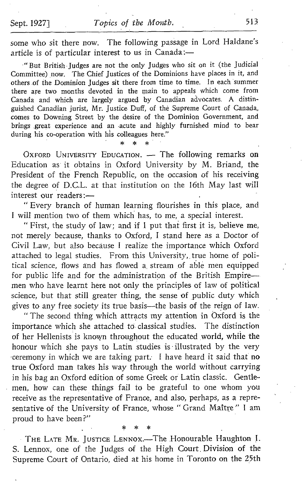some who sit there now. The following passage in Lord Haldane's article is of particular interest to us in Canada :

"But British judges are not the only judges who sit on it (the judicial Committee) now. The Chief Justices of the Dominions have places in it, and others .of the Dominion judges sit there from time to time. In each summer there are two months devoted in the main to appeals which come from Canada and which are largely argued by Canadian advocates. A distinguished Canadian jurist, Mr. Justice Duff, of the Supreme Court of Canada, comes to Downing Street by the desire of the Dominion Government, and brings great experience and an acute and highly furnished mind to bear during his co-operation with his colleagues here."

OXFORD UNIVERSITY EDUCATION. - The following remarks on Education as it obtains in Oxford University by M. Briand, the President of the French Republic, on the occasion of his receiving the degree of D.G.L. at that institution on the 16th May last will interest our readers :-

" Every branch of human learning flourishes in this place, and <sup>1</sup> will mention two of them which has, to me, a special interest.

" First, the study of law; and if <sup>I</sup> put that first it is, believe me, not merely because, thanks to Oxford, <sup>I</sup> stand here as a Doctor of Civil Law, but also because <sup>I</sup> realize the importance which Oxford attached to legal studies. From this University, true home of political science, flows and has flowed a, stream of able men equipped for public life and for the administration of the British Empiremen who have learnt here not only the principles of law of political science, but that still greater thing, the sense of public duty which gives to any free society its true basis-the basis of the reign of law.

" The second thing which attracts my attention in Oxford is the portance which she attached to classical studies. The distinction importance which she attached to classical studies. of her Hellenists is known throughout the educated world, while the honour which she pays to Latin studies is illustrated by the very ceremony in which we are taking part. <sup>I</sup> have heard it said that no true Oxford man takes his way through the world without carrying in his bag an Oxford edition of some Greek or Latin classic. Gentlemen, how can these things fail to be grateful to one whom you receive as the representative of France, and also, perhaps, as a representative of the University of France, whose " Grand Maitre " <sup>I</sup> am proud to have been?"

THE LATE MR. JUSTICE LENNOX.-The Honourable Haughton I. S. Lennox, one of the judges of the High Court Division of the Supreme Court of Ontario, died at his home in Toronto on the 25th

sk.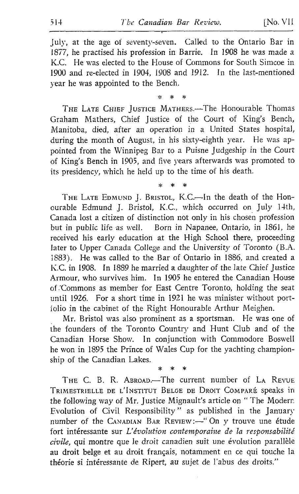July, at the age of seventy-seven. Called to the Ontario Bar in 1877, he practised his profession in Barrie. In 1908 he was made a K.C. He was elected to the House of Commons for South Simcoe in 1900 and re-elected in 1904, 1908 and 1912. In the last-mentioned year he was appointed to the Bench.

> ä.  $\ddot{\phantom{a}}$  $\ddot{\phantom{a}}$

THE LATE CHIEF JUSTICE MATHERS. The Honourable Thomas Graham Mathers, Chief justice of the Court of King's Bench, Manitoba, died, after an operation in a United States hospital, during the month of August, in his sixty-eighth year. He was appointed from the Winnipeg Bar to a Puisne judgeship in the Court of King's Bench in 1905, and five years afterwards was promoted to its presidency, which he held up to the time of his death.

> $\star$  $\star$

THE LATE EDMUND J. BRISTOL, K.C.-In the death of the Honourable Edmund J. Bristol, K.C., which occurred on July 14th, Canada lost a citizen of distinction not only in his chosen profession but in public life as well. Born in Napanee, Ontario, in 1861, he received his early education at the High School there, proceeding later to Upper Canada College and the University of Toronto (B.A. 1883) . He was called to the Bar of Ontario in 1886, and created <sup>a</sup> K.C. in 1908. In <sup>1889</sup> he married a daughter of the late Chief justice Armour, who survives him. In 1905 he entered the Canadian House of .Commons as member for East Centre Toronto, holding the seat until 1926. For a short time in 1921 he was minister without portiolio in the cabinet of the Right Honourable Arthur Nleighen.

Mr. Bristol was also prominent as a sportsman. He was one of the founders of the Toronto Country and Hunt Club and of the Canadian Horse Show. In conjunction with Commodore Boswell he won in <sup>1895</sup> the Prince of Wales Cup for the yachting championship of the Canadian Lakes.

THE C. B. R. ABROAD.-The current number of LA REVUE TRIMESTRIELLE DE L'INSTITUT BELGE DE DROIT COMPARÉ speaks in the following way of Mr. Justice Mignault's article on " The Moderr. Evolution of Civil Responsibility " as published in the January number of the CANADIAN BAR REVIEW :- "On y trouve une étude fort intéressante sur L'évolution contemporaine de la responsabilité civile, qui montre que le droit canadien suit une évolution parallèle au droit belge et au droit français, notamment en ce qui touche la théorie si intéressante de Ripert, au sujet de l'abus des droits."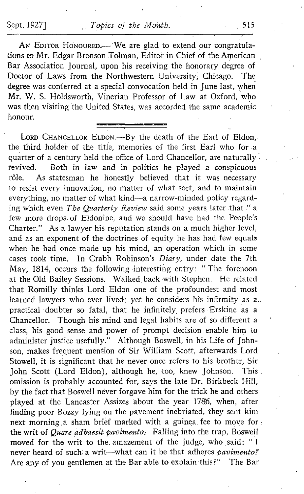AN EDITOR HONOURED. We are glad to extend our congratulations to Mr. Edgar Bronson Tolman, Editor in Chief of the American . Bar Association Journal, upon his receiving the honorary degree of Doctor of Laws from the Northwestern University Chicago. The Doctor of Laws from the Northwestern University; Chicago. degree was conferred at a special convocation held in June last, when Mr. W. S. Hôldsworth, Vinerian Professor of Law at Oxford, who was then visiting the United States, was accorded the same academic honour.

LORD CHANCELLOR ELDON. - By the death of the Earl of Eldon, the third holder of the title, memories of the first Earl who for a quarter of a century held the office of Lord Chancellor, are naturally revived. Both in law and in politics he played a conspicuous tevived. Both in law and in politics he played a conspicuous<br>rôle As statesman he honestly believed that it was necessary As statesman he honestly believed that it was necessary to resist every innovation, no matter of what sort, and to maintain everything, no matter of what kind-a narrow-minded policy regarding which even The Quarterly Review said some years later that "a few more drops. of Eldonine, and we should have had the People's Charter." As a lawyer his reputation stands on a much higher level, and as an exponent of the doctrines of equity he has had few equals when he had once made up his mind, an operation which in some cases took time. In Crabb Robinson's Diary, under date the 7th May, 1814, occurs the following interesting entry: "The forenoon at the Old Bailey Sessions. Walked back with Stephen. He related that Romilly thinks Lord Eldon one of the profoundest and most learned lawyers who ever lived; yet he considers his infirmity as a.. practical doubter so fatal, that he infinitely prefers Erskine as a Chancellor. Though his mind and legal habits are of so different a class, his good sense and power of prompt decision enable him to administer justice usefully ." Although Boswell, in his Life of Johnson, makes frequent mention of Sir William Scott, afterwards Lord Stowell, it is significant that he never once refers to his brother, Sir<br>John Scott (Lord Eldon), although he too, knew Johnson. This John Scott (Lord Eldon), although he, too, knew Johnson. omission is probably accounted for, says the late Dr. Birkbeck Hill, by the fact that Boswell never forgave him for the trick he and others played at the Lancaster Assizes about the year 1786, when, after finding poor Bozzy lying on the pavement inebriated, they sent him next morning a sham brief marked with a guinea fee to move for : the writ of Quare adhaesit pavimento. Falling into the trap, Boswell moved for the writ to the amazement of the judge, who said: "I never heard of such a writ-what can it be that adheres pavimento? Are any of you gentlemen at the Bar able to explain this?" The Bar